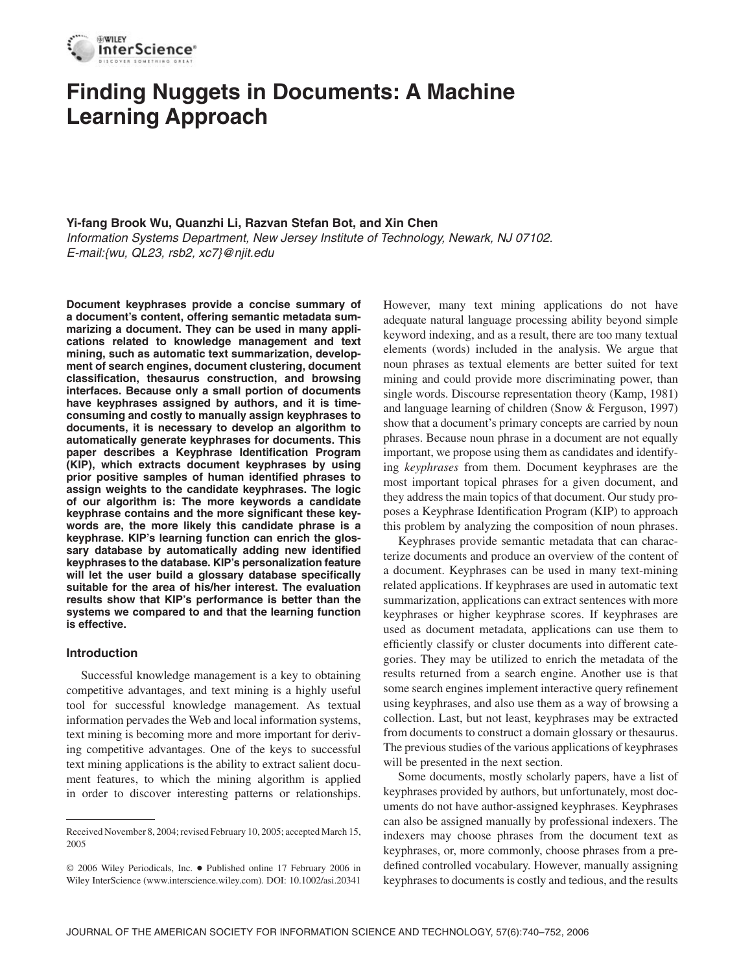

# **Finding Nuggets in Documents: A Machine Learning Approach**

# **Yi-fang Brook Wu, Quanzhi Li, Razvan Stefan Bot, and Xin Chen** Information Systems Department, New Jersey Institute of Technology, Newark, NJ 07102. E-mail:{wu, QL23, rsb2, xc7}@njit.edu

**Document keyphrases provide a concise summary of a document's content, offering semantic metadata summarizing a document. They can be used in many applications related to knowledge management and text mining, such as automatic text summarization, development of search engines, document clustering, document classification, thesaurus construction, and browsing interfaces. Because only a small portion of documents have keyphrases assigned by authors, and it is timeconsuming and costly to manually assign keyphrases to documents, it is necessary to develop an algorithm to automatically generate keyphrases for documents. This paper describes a Keyphrase Identification Program (KIP), which extracts document keyphrases by using prior positive samples of human identified phrases to assign weights to the candidate keyphrases. The logic of our algorithm is: The more keywords a candidate keyphrase contains and the more significant these keywords are, the more likely this candidate phrase is a keyphrase. KIP's learning function can enrich the glossary database by automatically adding new identified keyphrases to the database. KIP's personalization feature will let the user build a glossary database specifically suitable for the area of his/her interest. The evaluation results show that KIP's performance is better than the systems we compared to and that the learning function is effective.**

# **Introduction**

Successful knowledge management is a key to obtaining competitive advantages, and text mining is a highly useful tool for successful knowledge management. As textual information pervades the Web and local information systems, text mining is becoming more and more important for deriving competitive advantages. One of the keys to successful text mining applications is the ability to extract salient document features, to which the mining algorithm is applied in order to discover interesting patterns or relationships.

However, many text mining applications do not have adequate natural language processing ability beyond simple keyword indexing, and as a result, there are too many textual elements (words) included in the analysis. We argue that noun phrases as textual elements are better suited for text mining and could provide more discriminating power, than single words. Discourse representation theory (Kamp, 1981) and language learning of children (Snow & Ferguson, 1997) show that a document's primary concepts are carried by noun phrases. Because noun phrase in a document are not equally important, we propose using them as candidates and identifying *keyphrases* from them. Document keyphrases are the most important topical phrases for a given document, and they address the main topics of that document. Our study proposes a Keyphrase Identification Program (KIP) to approach this problem by analyzing the composition of noun phrases.

Keyphrases provide semantic metadata that can characterize documents and produce an overview of the content of a document. Keyphrases can be used in many text-mining related applications. If keyphrases are used in automatic text summarization, applications can extract sentences with more keyphrases or higher keyphrase scores. If keyphrases are used as document metadata, applications can use them to efficiently classify or cluster documents into different categories. They may be utilized to enrich the metadata of the results returned from a search engine. Another use is that some search engines implement interactive query refinement using keyphrases, and also use them as a way of browsing a collection. Last, but not least, keyphrases may be extracted from documents to construct a domain glossary or thesaurus. The previous studies of the various applications of keyphrases will be presented in the next section.

Some documents, mostly scholarly papers, have a list of keyphrases provided by authors, but unfortunately, most documents do not have author-assigned keyphrases. Keyphrases can also be assigned manually by professional indexers. The indexers may choose phrases from the document text as keyphrases, or, more commonly, choose phrases from a predefined controlled vocabulary. However, manually assigning keyphrases to documents is costly and tedious, and the results

Received November 8, 2004; revised February 10, 2005; accepted March 15, 2005

<sup>© 2006</sup> Wiley Periodicals, Inc. • Published online 17 February 2006 in Wiley InterScience (www.interscience.wiley.com). DOI: 10.1002/asi.20341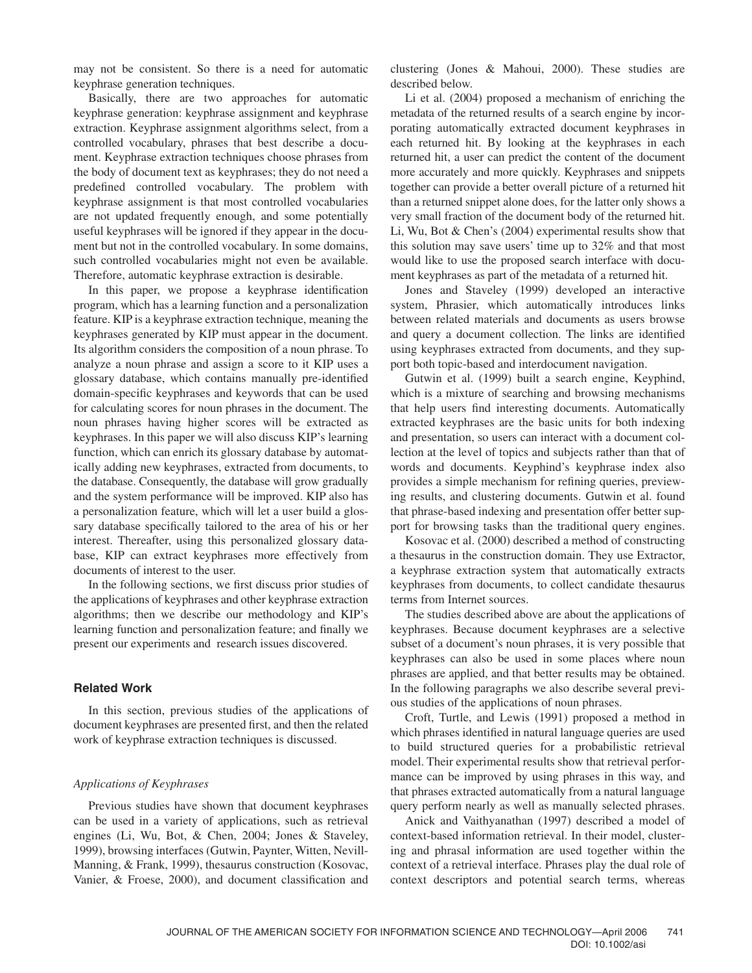may not be consistent. So there is a need for automatic keyphrase generation techniques.

Basically, there are two approaches for automatic keyphrase generation: keyphrase assignment and keyphrase extraction. Keyphrase assignment algorithms select, from a controlled vocabulary, phrases that best describe a document. Keyphrase extraction techniques choose phrases from the body of document text as keyphrases; they do not need a predefined controlled vocabulary. The problem with keyphrase assignment is that most controlled vocabularies are not updated frequently enough, and some potentially useful keyphrases will be ignored if they appear in the document but not in the controlled vocabulary. In some domains, such controlled vocabularies might not even be available. Therefore, automatic keyphrase extraction is desirable.

In this paper, we propose a keyphrase identification program, which has a learning function and a personalization feature. KIP is a keyphrase extraction technique, meaning the keyphrases generated by KIP must appear in the document. Its algorithm considers the composition of a noun phrase. To analyze a noun phrase and assign a score to it KIP uses a glossary database, which contains manually pre-identified domain-specific keyphrases and keywords that can be used for calculating scores for noun phrases in the document. The noun phrases having higher scores will be extracted as keyphrases. In this paper we will also discuss KIP's learning function, which can enrich its glossary database by automatically adding new keyphrases, extracted from documents, to the database. Consequently, the database will grow gradually and the system performance will be improved. KIP also has a personalization feature, which will let a user build a glossary database specifically tailored to the area of his or her interest. Thereafter, using this personalized glossary database, KIP can extract keyphrases more effectively from documents of interest to the user.

In the following sections, we first discuss prior studies of the applications of keyphrases and other keyphrase extraction algorithms; then we describe our methodology and KIP's learning function and personalization feature; and finally we present our experiments and research issues discovered.

# **Related Work**

In this section, previous studies of the applications of document keyphrases are presented first, and then the related work of keyphrase extraction techniques is discussed.

## *Applications of Keyphrases*

Previous studies have shown that document keyphrases can be used in a variety of applications, such as retrieval engines (Li, Wu, Bot, & Chen, 2004; Jones & Staveley, 1999), browsing interfaces (Gutwin, Paynter, Witten, Nevill-Manning, & Frank, 1999), thesaurus construction (Kosovac, Vanier, & Froese, 2000), and document classification and clustering (Jones & Mahoui, 2000). These studies are described below.

Li et al. (2004) proposed a mechanism of enriching the metadata of the returned results of a search engine by incorporating automatically extracted document keyphrases in each returned hit. By looking at the keyphrases in each returned hit, a user can predict the content of the document more accurately and more quickly. Keyphrases and snippets together can provide a better overall picture of a returned hit than a returned snippet alone does, for the latter only shows a very small fraction of the document body of the returned hit. Li, Wu, Bot & Chen's (2004) experimental results show that this solution may save users' time up to 32% and that most would like to use the proposed search interface with document keyphrases as part of the metadata of a returned hit.

Jones and Staveley (1999) developed an interactive system, Phrasier, which automatically introduces links between related materials and documents as users browse and query a document collection. The links are identified using keyphrases extracted from documents, and they support both topic-based and interdocument navigation.

Gutwin et al. (1999) built a search engine, Keyphind, which is a mixture of searching and browsing mechanisms that help users find interesting documents. Automatically extracted keyphrases are the basic units for both indexing and presentation, so users can interact with a document collection at the level of topics and subjects rather than that of words and documents. Keyphind's keyphrase index also provides a simple mechanism for refining queries, previewing results, and clustering documents. Gutwin et al. found that phrase-based indexing and presentation offer better support for browsing tasks than the traditional query engines.

Kosovac et al. (2000) described a method of constructing a thesaurus in the construction domain. They use Extractor, a keyphrase extraction system that automatically extracts keyphrases from documents, to collect candidate thesaurus terms from Internet sources.

The studies described above are about the applications of keyphrases. Because document keyphrases are a selective subset of a document's noun phrases, it is very possible that keyphrases can also be used in some places where noun phrases are applied, and that better results may be obtained. In the following paragraphs we also describe several previous studies of the applications of noun phrases.

Croft, Turtle, and Lewis (1991) proposed a method in which phrases identified in natural language queries are used to build structured queries for a probabilistic retrieval model. Their experimental results show that retrieval performance can be improved by using phrases in this way, and that phrases extracted automatically from a natural language query perform nearly as well as manually selected phrases.

Anick and Vaithyanathan (1997) described a model of context-based information retrieval. In their model, clustering and phrasal information are used together within the context of a retrieval interface. Phrases play the dual role of context descriptors and potential search terms, whereas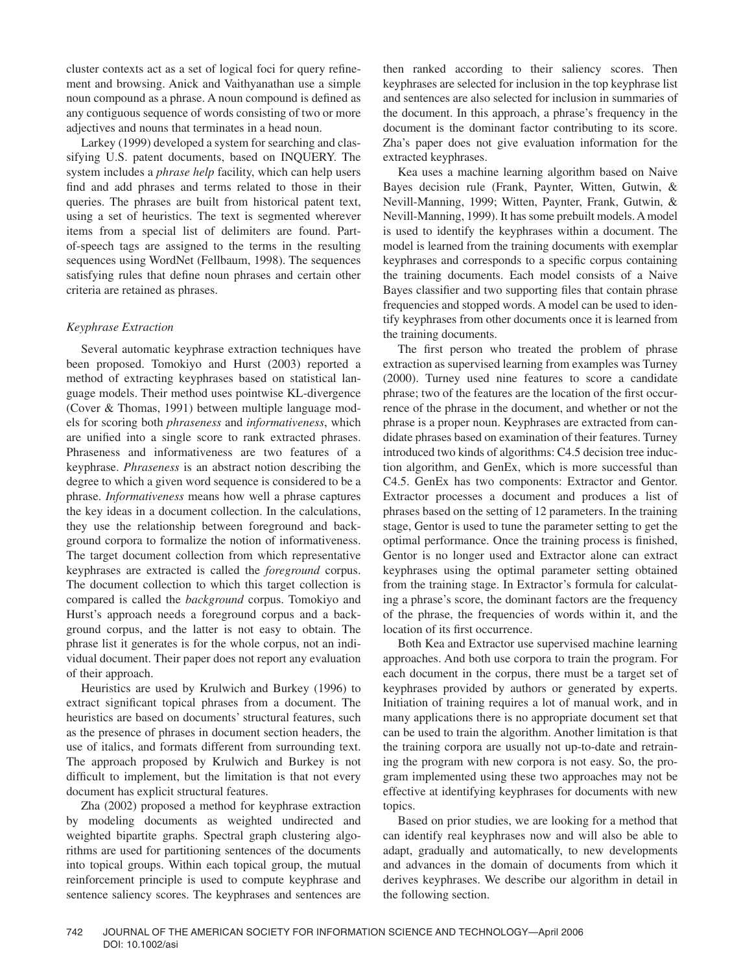cluster contexts act as a set of logical foci for query refinement and browsing. Anick and Vaithyanathan use a simple noun compound as a phrase. A noun compound is defined as any contiguous sequence of words consisting of two or more adjectives and nouns that terminates in a head noun.

Larkey (1999) developed a system for searching and classifying U.S. patent documents, based on INQUERY. The system includes a *phrase help* facility, which can help users find and add phrases and terms related to those in their queries. The phrases are built from historical patent text, using a set of heuristics. The text is segmented wherever items from a special list of delimiters are found. Partof-speech tags are assigned to the terms in the resulting sequences using WordNet (Fellbaum, 1998). The sequences satisfying rules that define noun phrases and certain other criteria are retained as phrases.

## *Keyphrase Extraction*

Several automatic keyphrase extraction techniques have been proposed. Tomokiyo and Hurst (2003) reported a method of extracting keyphrases based on statistical language models. Their method uses pointwise KL-divergence (Cover & Thomas, 1991) between multiple language models for scoring both *phraseness* and *informativeness*, which are unified into a single score to rank extracted phrases. Phraseness and informativeness are two features of a keyphrase. *Phraseness* is an abstract notion describing the degree to which a given word sequence is considered to be a phrase. *Informativeness* means how well a phrase captures the key ideas in a document collection. In the calculations, they use the relationship between foreground and background corpora to formalize the notion of informativeness. The target document collection from which representative keyphrases are extracted is called the *foreground* corpus. The document collection to which this target collection is compared is called the *background* corpus. Tomokiyo and Hurst's approach needs a foreground corpus and a background corpus, and the latter is not easy to obtain. The phrase list it generates is for the whole corpus, not an individual document. Their paper does not report any evaluation of their approach.

Heuristics are used by Krulwich and Burkey (1996) to extract significant topical phrases from a document. The heuristics are based on documents' structural features, such as the presence of phrases in document section headers, the use of italics, and formats different from surrounding text. The approach proposed by Krulwich and Burkey is not difficult to implement, but the limitation is that not every document has explicit structural features.

Zha (2002) proposed a method for keyphrase extraction by modeling documents as weighted undirected and weighted bipartite graphs. Spectral graph clustering algorithms are used for partitioning sentences of the documents into topical groups. Within each topical group, the mutual reinforcement principle is used to compute keyphrase and sentence saliency scores. The keyphrases and sentences are then ranked according to their saliency scores. Then keyphrases are selected for inclusion in the top keyphrase list and sentences are also selected for inclusion in summaries of the document. In this approach, a phrase's frequency in the document is the dominant factor contributing to its score. Zha's paper does not give evaluation information for the extracted keyphrases.

Kea uses a machine learning algorithm based on Naive Bayes decision rule (Frank, Paynter, Witten, Gutwin, & Nevill-Manning, 1999; Witten, Paynter, Frank, Gutwin, & Nevill-Manning, 1999). It has some prebuilt models. A model is used to identify the keyphrases within a document. The model is learned from the training documents with exemplar keyphrases and corresponds to a specific corpus containing the training documents. Each model consists of a Naive Bayes classifier and two supporting files that contain phrase frequencies and stopped words. A model can be used to identify keyphrases from other documents once it is learned from the training documents.

The first person who treated the problem of phrase extraction as supervised learning from examples was Turney (2000). Turney used nine features to score a candidate phrase; two of the features are the location of the first occurrence of the phrase in the document, and whether or not the phrase is a proper noun. Keyphrases are extracted from candidate phrases based on examination of their features. Turney introduced two kinds of algorithms: C4.5 decision tree induction algorithm, and GenEx, which is more successful than C4.5. GenEx has two components: Extractor and Gentor. Extractor processes a document and produces a list of phrases based on the setting of 12 parameters. In the training stage, Gentor is used to tune the parameter setting to get the optimal performance. Once the training process is finished, Gentor is no longer used and Extractor alone can extract keyphrases using the optimal parameter setting obtained from the training stage. In Extractor's formula for calculating a phrase's score, the dominant factors are the frequency of the phrase, the frequencies of words within it, and the location of its first occurrence.

Both Kea and Extractor use supervised machine learning approaches. And both use corpora to train the program. For each document in the corpus, there must be a target set of keyphrases provided by authors or generated by experts. Initiation of training requires a lot of manual work, and in many applications there is no appropriate document set that can be used to train the algorithm. Another limitation is that the training corpora are usually not up-to-date and retraining the program with new corpora is not easy. So, the program implemented using these two approaches may not be effective at identifying keyphrases for documents with new topics.

Based on prior studies, we are looking for a method that can identify real keyphrases now and will also be able to adapt, gradually and automatically, to new developments and advances in the domain of documents from which it derives keyphrases. We describe our algorithm in detail in the following section.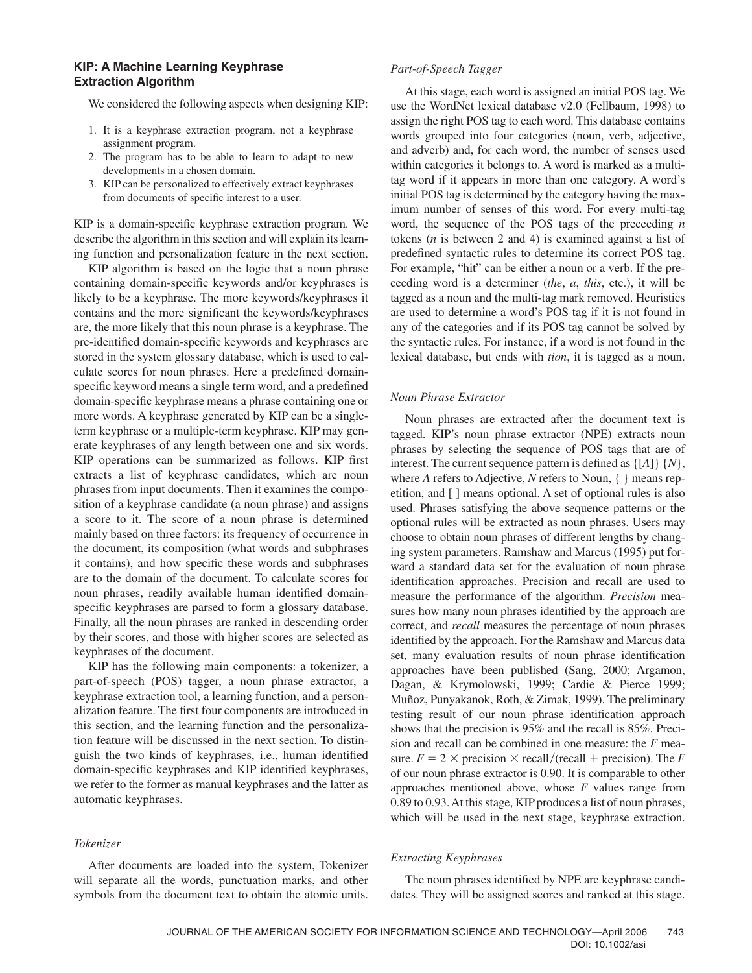# **KIP: A Machine Learning Keyphrase Extraction Algorithm**

We considered the following aspects when designing KIP:

- 1. It is a keyphrase extraction program, not a keyphrase assignment program.
- 2. The program has to be able to learn to adapt to new developments in a chosen domain.
- 3. KIP can be personalized to effectively extract keyphrases from documents of specific interest to a user.

KIP is a domain-specific keyphrase extraction program. We describe the algorithm in this section and will explain its learning function and personalization feature in the next section.

KIP algorithm is based on the logic that a noun phrase containing domain-specific keywords and/or keyphrases is likely to be a keyphrase. The more keywords/keyphrases it contains and the more significant the keywords/keyphrases are, the more likely that this noun phrase is a keyphrase. The pre-identified domain-specific keywords and keyphrases are stored in the system glossary database, which is used to calculate scores for noun phrases. Here a predefined domainspecific keyword means a single term word, and a predefined domain-specific keyphrase means a phrase containing one or more words. A keyphrase generated by KIP can be a singleterm keyphrase or a multiple-term keyphrase. KIP may generate keyphrases of any length between one and six words. KIP operations can be summarized as follows. KIP first extracts a list of keyphrase candidates, which are noun phrases from input documents. Then it examines the composition of a keyphrase candidate (a noun phrase) and assigns a score to it. The score of a noun phrase is determined mainly based on three factors: its frequency of occurrence in the document, its composition (what words and subphrases it contains), and how specific these words and subphrases are to the domain of the document. To calculate scores for noun phrases, readily available human identified domainspecific keyphrases are parsed to form a glossary database. Finally, all the noun phrases are ranked in descending order by their scores, and those with higher scores are selected as keyphrases of the document.

KIP has the following main components: a tokenizer, a part-of-speech (POS) tagger, a noun phrase extractor, a keyphrase extraction tool, a learning function, and a personalization feature. The first four components are introduced in this section, and the learning function and the personalization feature will be discussed in the next section. To distinguish the two kinds of keyphrases, i.e., human identified domain-specific keyphrases and KIP identified keyphrases, we refer to the former as manual keyphrases and the latter as automatic keyphrases.

## *Tokenizer*

After documents are loaded into the system, Tokenizer will separate all the words, punctuation marks, and other symbols from the document text to obtain the atomic units.

## *Part-of-Speech Tagger*

At this stage, each word is assigned an initial POS tag. We use the WordNet lexical database v2.0 (Fellbaum, 1998) to assign the right POS tag to each word. This database contains words grouped into four categories (noun, verb, adjective, and adverb) and, for each word, the number of senses used within categories it belongs to. A word is marked as a multitag word if it appears in more than one category. A word's initial POS tag is determined by the category having the maximum number of senses of this word. For every multi-tag word, the sequence of the POS tags of the preceeding *n* tokens (*n* is between 2 and 4) is examined against a list of predefined syntactic rules to determine its correct POS tag. For example, "hit" can be either a noun or a verb. If the preceeding word is a determiner (*the*, *a*, *this*, etc.), it will be tagged as a noun and the multi-tag mark removed. Heuristics are used to determine a word's POS tag if it is not found in any of the categories and if its POS tag cannot be solved by the syntactic rules. For instance, if a word is not found in the lexical database, but ends with *tion*, it is tagged as a noun.

## *Noun Phrase Extractor*

Noun phrases are extracted after the document text is tagged. KIP's noun phrase extractor (NPE) extracts noun phrases by selecting the sequence of POS tags that are of interest. The current sequence pattern is defined as {[*A*]} {*N*}, where *A* refers to Adjective, *N* refers to Noun, { } means repetition, and [ ] means optional. A set of optional rules is also used. Phrases satisfying the above sequence patterns or the optional rules will be extracted as noun phrases. Users may choose to obtain noun phrases of different lengths by changing system parameters. Ramshaw and Marcus (1995) put forward a standard data set for the evaluation of noun phrase identification approaches. Precision and recall are used to measure the performance of the algorithm. *Precision* measures how many noun phrases identified by the approach are correct, and *recall* measures the percentage of noun phrases identified by the approach. For the Ramshaw and Marcus data set, many evaluation results of noun phrase identification approaches have been published (Sang, 2000; Argamon, Dagan, & Krymolowski, 1999; Cardie & Pierce 1999; Muñoz, Punyakanok, Roth, & Zimak, 1999). The preliminary testing result of our noun phrase identification approach shows that the precision is 95% and the recall is 85%. Precision and recall can be combined in one measure: the *F* measure.  $F = 2 \times \text{precision} \times \text{recall}/(\text{recall} + \text{precision})$ . The *F* of our noun phrase extractor is 0.90. It is comparable to other approaches mentioned above, whose *F* values range from 0.89 to 0.93.At this stage, KIP produces a list of noun phrases, which will be used in the next stage, keyphrase extraction.

## *Extracting Keyphrases*

The noun phrases identified by NPE are keyphrase candidates. They will be assigned scores and ranked at this stage.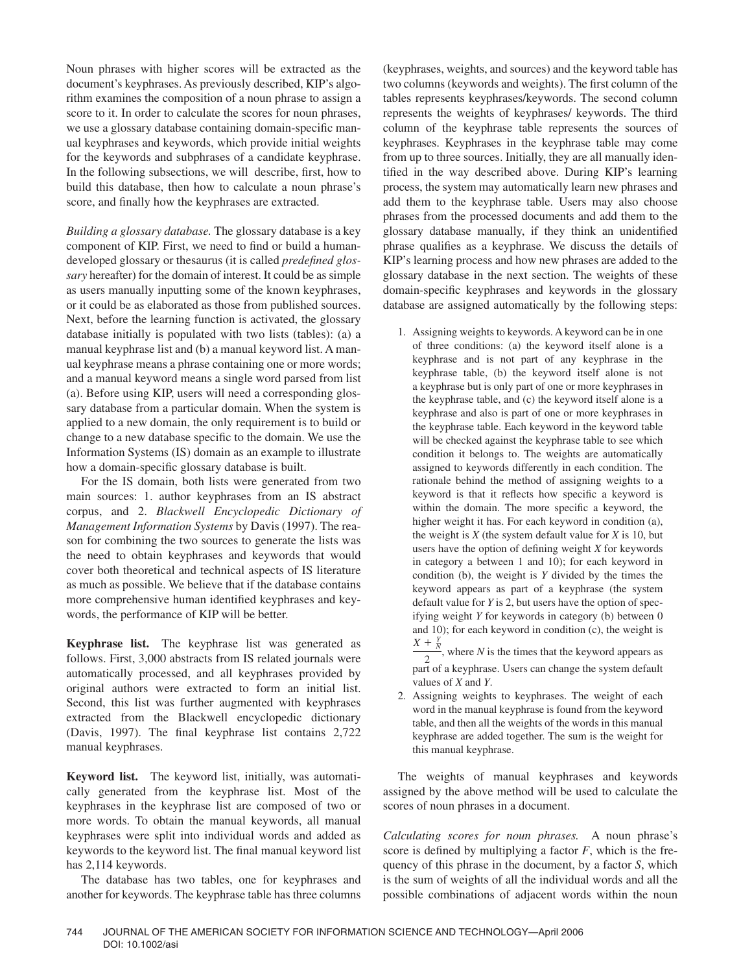Noun phrases with higher scores will be extracted as the document's keyphrases. As previously described, KIP's algorithm examines the composition of a noun phrase to assign a score to it. In order to calculate the scores for noun phrases, we use a glossary database containing domain-specific manual keyphrases and keywords, which provide initial weights for the keywords and subphrases of a candidate keyphrase. In the following subsections, we will describe, first, how to build this database, then how to calculate a noun phrase's score, and finally how the keyphrases are extracted.

*Building a glossary database.* The glossary database is a key component of KIP. First, we need to find or build a humandeveloped glossary or thesaurus (it is called *predefined glossary* hereafter) for the domain of interest. It could be as simple as users manually inputting some of the known keyphrases, or it could be as elaborated as those from published sources. Next, before the learning function is activated, the glossary database initially is populated with two lists (tables): (a) a manual keyphrase list and (b) a manual keyword list. A manual keyphrase means a phrase containing one or more words; and a manual keyword means a single word parsed from list (a). Before using KIP, users will need a corresponding glossary database from a particular domain. When the system is applied to a new domain, the only requirement is to build or change to a new database specific to the domain. We use the Information Systems (IS) domain as an example to illustrate how a domain-specific glossary database is built.

For the IS domain, both lists were generated from two main sources: 1. author keyphrases from an IS abstract corpus, and 2. *Blackwell Encyclopedic Dictionary of Management Information Systems* by Davis (1997). The reason for combining the two sources to generate the lists was the need to obtain keyphrases and keywords that would cover both theoretical and technical aspects of IS literature as much as possible. We believe that if the database contains more comprehensive human identified keyphrases and keywords, the performance of KIP will be better.

**Keyphrase list.** The keyphrase list was generated as follows. First, 3,000 abstracts from IS related journals were automatically processed, and all keyphrases provided by original authors were extracted to form an initial list. Second, this list was further augmented with keyphrases extracted from the Blackwell encyclopedic dictionary (Davis, 1997). The final keyphrase list contains 2,722 manual keyphrases.

**Keyword list.** The keyword list, initially, was automatically generated from the keyphrase list. Most of the keyphrases in the keyphrase list are composed of two or more words. To obtain the manual keywords, all manual keyphrases were split into individual words and added as keywords to the keyword list. The final manual keyword list has 2,114 keywords.

The database has two tables, one for keyphrases and another for keywords. The keyphrase table has three columns

(keyphrases, weights, and sources) and the keyword table has two columns (keywords and weights). The first column of the tables represents keyphrases/keywords. The second column represents the weights of keyphrases/ keywords. The third column of the keyphrase table represents the sources of keyphrases. Keyphrases in the keyphrase table may come from up to three sources. Initially, they are all manually identified in the way described above. During KIP's learning process, the system may automatically learn new phrases and add them to the keyphrase table. Users may also choose phrases from the processed documents and add them to the glossary database manually, if they think an unidentified phrase qualifies as a keyphrase. We discuss the details of KIP's learning process and how new phrases are added to the glossary database in the next section. The weights of these domain-specific keyphrases and keywords in the glossary database are assigned automatically by the following steps:

1. Assigning weights to keywords. A keyword can be in one of three conditions: (a) the keyword itself alone is a keyphrase and is not part of any keyphrase in the keyphrase table, (b) the keyword itself alone is not a keyphrase but is only part of one or more keyphrases in the keyphrase table, and (c) the keyword itself alone is a keyphrase and also is part of one or more keyphrases in the keyphrase table. Each keyword in the keyword table will be checked against the keyphrase table to see which condition it belongs to. The weights are automatically assigned to keywords differently in each condition. The rationale behind the method of assigning weights to a keyword is that it reflects how specific a keyword is within the domain. The more specific a keyword, the higher weight it has. For each keyword in condition (a), the weight is *X* (the system default value for *X* is 10, but users have the option of defining weight *X* for keywords in category a between 1 and 10); for each keyword in condition (b), the weight is *Y* divided by the times the keyword appears as part of a keyphrase (the system default value for *Y* is 2, but users have the option of specifying weight *Y* for keywords in category (b) between 0 and 10); for each keyword in condition (c), the weight is

 $\frac{X + \frac{Y}{N}}{2}$ , where *N* is the times that the keyword appears as part of a keyphrase. Users can change the system default values of *X* and *Y*.

2. Assigning weights to keyphrases. The weight of each word in the manual keyphrase is found from the keyword table, and then all the weights of the words in this manual keyphrase are added together. The sum is the weight for this manual keyphrase.

The weights of manual keyphrases and keywords assigned by the above method will be used to calculate the scores of noun phrases in a document.

*Calculating scores for noun phrases.* A noun phrase's score is defined by multiplying a factor *F*, which is the frequency of this phrase in the document, by a factor *S*, which is the sum of weights of all the individual words and all the possible combinations of adjacent words within the noun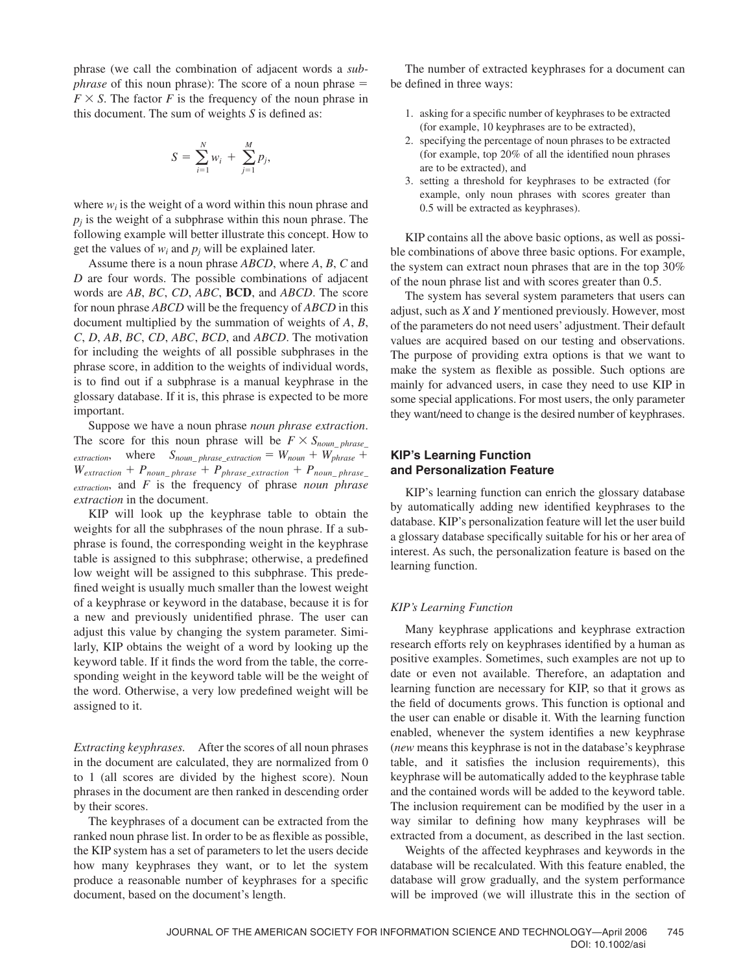phrase (we call the combination of adjacent words a *subphrase* of this noun phrase): The score of a noun phrase =  $F \times S$ . The factor *F* is the frequency of the noun phrase in this document. The sum of weights *S* is defined as:

$$
S = \sum_{i=1}^{N} w_i + \sum_{j=1}^{M} p_j,
$$

where  $w_i$  is the weight of a word within this noun phrase and  $p_i$  is the weight of a subphrase within this noun phrase. The following example will better illustrate this concept. How to get the values of  $w_i$  and  $p_j$  will be explained later.

Assume there is a noun phrase *ABCD*, where *A*, *B*, *C* and *D* are four words. The possible combinations of adjacent words are *AB*, *BC*, *CD*, *ABC*, **BCD**, and *ABCD*. The score for noun phrase *ABCD* will be the frequency of *ABCD* in this document multiplied by the summation of weights of *A*, *B*, *C*, *D*, *AB*, *BC*, *CD*, *ABC*, *BCD*, and *ABCD*. The motivation for including the weights of all possible subphrases in the phrase score, in addition to the weights of individual words, is to find out if a subphrase is a manual keyphrase in the glossary database. If it is, this phrase is expected to be more important.

Suppose we have a noun phrase *noun phrase extraction*. The score for this noun phrase will be  $F \times S_{\text{noun\_phrase}}$ *extraction*, where  $S_{\text{noun phrase extraction}} = W_{\text{noun}} + W_{\text{phrase}} +$  $W_{extraction} + P_{noun\_phrase} + P_{phrase\_extraction} + P_{noun\_phrase\_}$ *extraction*, and *F* is the frequency of phrase *noun phrase extraction* in the document.

KIP will look up the keyphrase table to obtain the weights for all the subphrases of the noun phrase. If a subphrase is found, the corresponding weight in the keyphrase table is assigned to this subphrase; otherwise, a predefined low weight will be assigned to this subphrase. This predefined weight is usually much smaller than the lowest weight of a keyphrase or keyword in the database, because it is for a new and previously unidentified phrase. The user can adjust this value by changing the system parameter. Similarly, KIP obtains the weight of a word by looking up the keyword table. If it finds the word from the table, the corresponding weight in the keyword table will be the weight of the word. Otherwise, a very low predefined weight will be assigned to it.

*Extracting keyphrases.* After the scores of all noun phrases in the document are calculated, they are normalized from 0 to 1 (all scores are divided by the highest score). Noun phrases in the document are then ranked in descending order by their scores.

The keyphrases of a document can be extracted from the ranked noun phrase list. In order to be as flexible as possible, the KIP system has a set of parameters to let the users decide how many keyphrases they want, or to let the system produce a reasonable number of keyphrases for a specific document, based on the document's length.

The number of extracted keyphrases for a document can be defined in three ways:

- 1. asking for a specific number of keyphrases to be extracted (for example, 10 keyphrases are to be extracted),
- 2. specifying the percentage of noun phrases to be extracted (for example, top 20% of all the identified noun phrases are to be extracted), and
- 3. setting a threshold for keyphrases to be extracted (for example, only noun phrases with scores greater than 0.5 will be extracted as keyphrases).

KIP contains all the above basic options, as well as possible combinations of above three basic options. For example, the system can extract noun phrases that are in the top 30% of the noun phrase list and with scores greater than 0.5.

The system has several system parameters that users can adjust, such as *X* and *Y* mentioned previously. However, most of the parameters do not need users'adjustment. Their default values are acquired based on our testing and observations. The purpose of providing extra options is that we want to make the system as flexible as possible. Such options are mainly for advanced users, in case they need to use KIP in some special applications. For most users, the only parameter they want/need to change is the desired number of keyphrases.

# **KIP's Learning Function and Personalization Feature**

KIP's learning function can enrich the glossary database by automatically adding new identified keyphrases to the database. KIP's personalization feature will let the user build a glossary database specifically suitable for his or her area of interest. As such, the personalization feature is based on the learning function.

## *KIP's Learning Function*

Many keyphrase applications and keyphrase extraction research efforts rely on keyphrases identified by a human as positive examples. Sometimes, such examples are not up to date or even not available. Therefore, an adaptation and learning function are necessary for KIP, so that it grows as the field of documents grows. This function is optional and the user can enable or disable it. With the learning function enabled, whenever the system identifies a new keyphrase (*new* means this keyphrase is not in the database's keyphrase table, and it satisfies the inclusion requirements), this keyphrase will be automatically added to the keyphrase table and the contained words will be added to the keyword table. The inclusion requirement can be modified by the user in a way similar to defining how many keyphrases will be extracted from a document, as described in the last section.

Weights of the affected keyphrases and keywords in the database will be recalculated. With this feature enabled, the database will grow gradually, and the system performance will be improved (we will illustrate this in the section of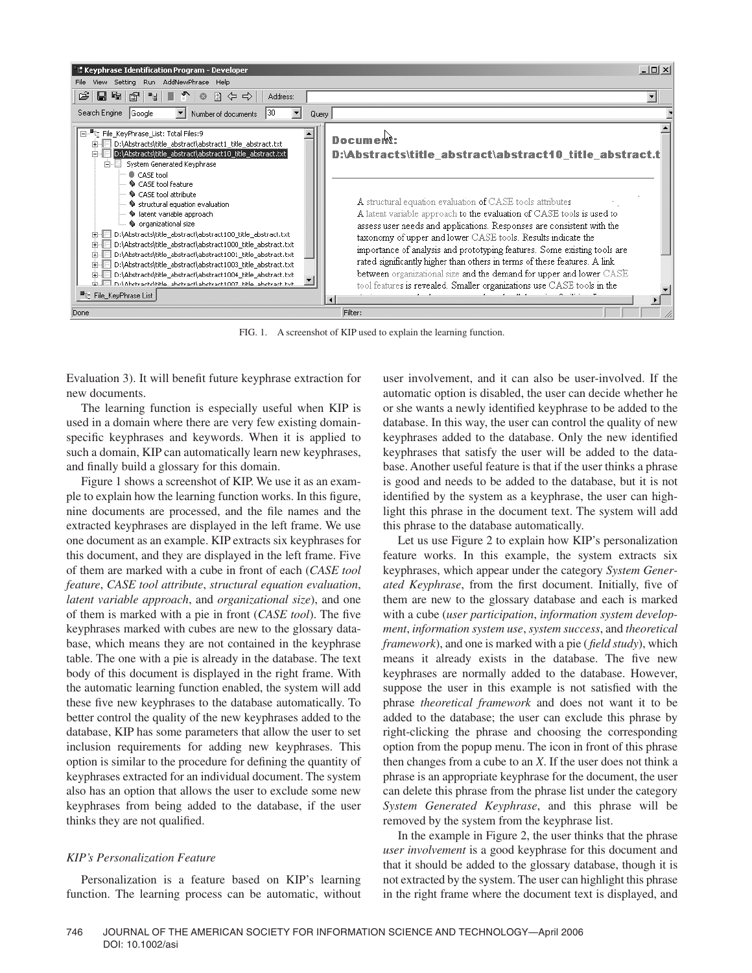

FIG. 1. A screenshot of KIP used to explain the learning function.

Evaluation 3). It will benefit future keyphrase extraction for new documents.

The learning function is especially useful when KIP is used in a domain where there are very few existing domainspecific keyphrases and keywords. When it is applied to such a domain, KIP can automatically learn new keyphrases, and finally build a glossary for this domain.

Figure 1 shows a screenshot of KIP. We use it as an example to explain how the learning function works. In this figure, nine documents are processed, and the file names and the extracted keyphrases are displayed in the left frame. We use one document as an example. KIP extracts six keyphrases for this document, and they are displayed in the left frame. Five of them are marked with a cube in front of each (*CASE tool feature*, *CASE tool attribute*, *structural equation evaluation*, *latent variable approach*, and *organizational size*), and one of them is marked with a pie in front (*CASE tool*). The five keyphrases marked with cubes are new to the glossary database, which means they are not contained in the keyphrase table. The one with a pie is already in the database. The text body of this document is displayed in the right frame. With the automatic learning function enabled, the system will add these five new keyphrases to the database automatically. To better control the quality of the new keyphrases added to the database, KIP has some parameters that allow the user to set inclusion requirements for adding new keyphrases. This option is similar to the procedure for defining the quantity of keyphrases extracted for an individual document. The system also has an option that allows the user to exclude some new keyphrases from being added to the database, if the user thinks they are not qualified.

## *KIP's Personalization Feature*

Personalization is a feature based on KIP's learning function. The learning process can be automatic, without user involvement, and it can also be user-involved. If the automatic option is disabled, the user can decide whether he or she wants a newly identified keyphrase to be added to the database. In this way, the user can control the quality of new keyphrases added to the database. Only the new identified keyphrases that satisfy the user will be added to the database. Another useful feature is that if the user thinks a phrase is good and needs to be added to the database, but it is not identified by the system as a keyphrase, the user can highlight this phrase in the document text. The system will add this phrase to the database automatically.

Let us use Figure 2 to explain how KIP's personalization feature works. In this example, the system extracts six keyphrases, which appear under the category *System Generated Keyphrase*, from the first document. Initially, five of them are new to the glossary database and each is marked with a cube (*user participation*, *information system development*, *information system use*, *system success*, and *theoretical framework*), and one is marked with a pie ( *field study*), which means it already exists in the database. The five new keyphrases are normally added to the database. However, suppose the user in this example is not satisfied with the phrase *theoretical framework* and does not want it to be added to the database; the user can exclude this phrase by right-clicking the phrase and choosing the corresponding option from the popup menu. The icon in front of this phrase then changes from a cube to an *X*. If the user does not think a phrase is an appropriate keyphrase for the document, the user can delete this phrase from the phrase list under the category *System Generated Keyphrase*, and this phrase will be removed by the system from the keyphrase list.

In the example in Figure 2, the user thinks that the phrase *user involvement* is a good keyphrase for this document and that it should be added to the glossary database, though it is not extracted by the system. The user can highlight this phrase in the right frame where the document text is displayed, and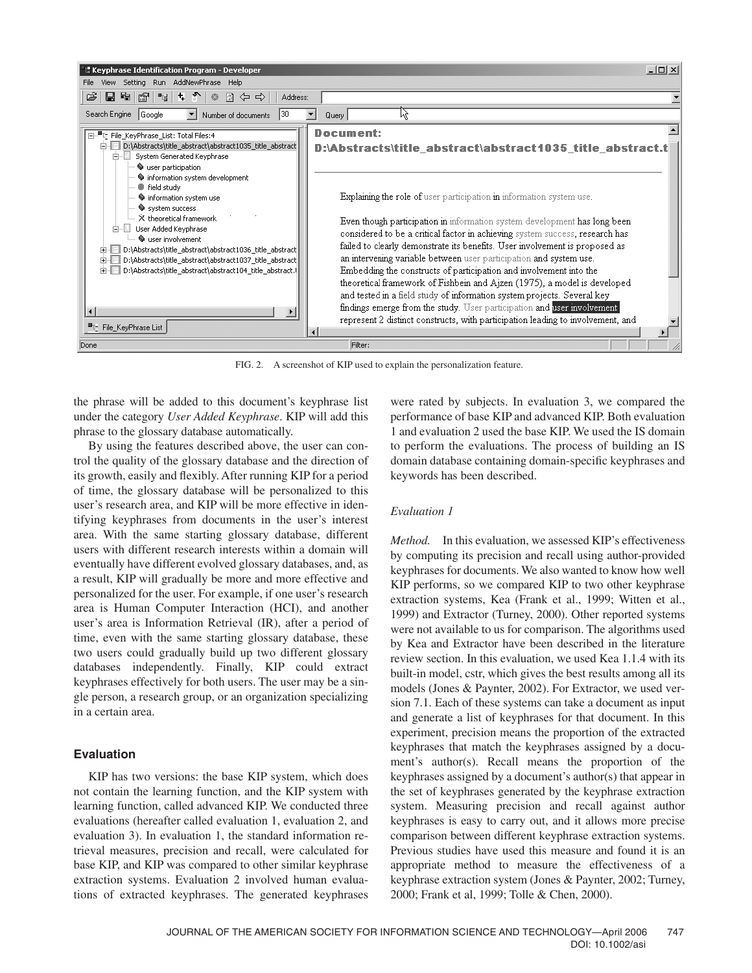

FIG. 2. A screenshot of KIP used to explain the personalization feature.

the phrase will be added to this document's keyphrase list under the category *User Added Keyphrase*. KIP will add this phrase to the glossary database automatically.

By using the features described above, the user can control the quality of the glossary database and the direction of its growth, easily and flexibly. After running KIP for a period of time, the glossary database will be personalized to this user's research area, and KIP will be more effective in identifying keyphrases from documents in the user's interest area. With the same starting glossary database, different users with different research interests within a domain will eventually have different evolved glossary databases, and, as a result, KIP will gradually be more and more effective and personalized for the user. For example, if one user's research area is Human Computer Interaction (HCI), and another user's area is Information Retrieval (IR), after a period of time, even with the same starting glossary database, these two users could gradually build up two different glossary databases independently. Finally, KIP could extract keyphrases effectively for both users. The user may be a single person, a research group, or an organization specializing in a certain area.

# **Evaluation**

KIP has two versions: the base KIP system, which does not contain the learning function, and the KIP system with learning function, called advanced KIP. We conducted three evaluations (hereafter called evaluation 1, evaluation 2, and evaluation 3). In evaluation 1, the standard information retrieval measures, precision and recall, were calculated for base KIP, and KIP was compared to other similar keyphrase extraction systems. Evaluation 2 involved human evaluations of extracted keyphrases. The generated keyphrases

were rated by subjects. In evaluation 3, we compared the performance of base KIP and advanced KIP. Both evaluation 1 and evaluation 2 used the base KIP. We used the IS domain to perform the evaluations. The process of building an IS domain database containing domain-specific keyphrases and keywords has been described.

## *Evaluation 1*

*Method.* In this evaluation, we assessed KIP's effectiveness by computing its precision and recall using author-provided keyphrases for documents. We also wanted to know how well KIP performs, so we compared KIP to two other keyphrase extraction systems, Kea (Frank et al., 1999; Witten et al., 1999) and Extractor (Turney, 2000). Other reported systems were not available to us for comparison. The algorithms used by Kea and Extractor have been described in the literature review section. In this evaluation, we used Kea 1.1.4 with its built-in model, cstr, which gives the best results among all its models (Jones & Paynter, 2002). For Extractor, we used version 7.1. Each of these systems can take a document as input and generate a list of keyphrases for that document. In this experiment, precision means the proportion of the extracted keyphrases that match the keyphrases assigned by a document's author(s). Recall means the proportion of the keyphrases assigned by a document's author(s) that appear in the set of keyphrases generated by the keyphrase extraction system. Measuring precision and recall against author keyphrases is easy to carry out, and it allows more precise comparison between different keyphrase extraction systems. Previous studies have used this measure and found it is an appropriate method to measure the effectiveness of a keyphrase extraction system (Jones & Paynter, 2002; Turney, 2000; Frank et al, 1999; Tolle & Chen, 2000).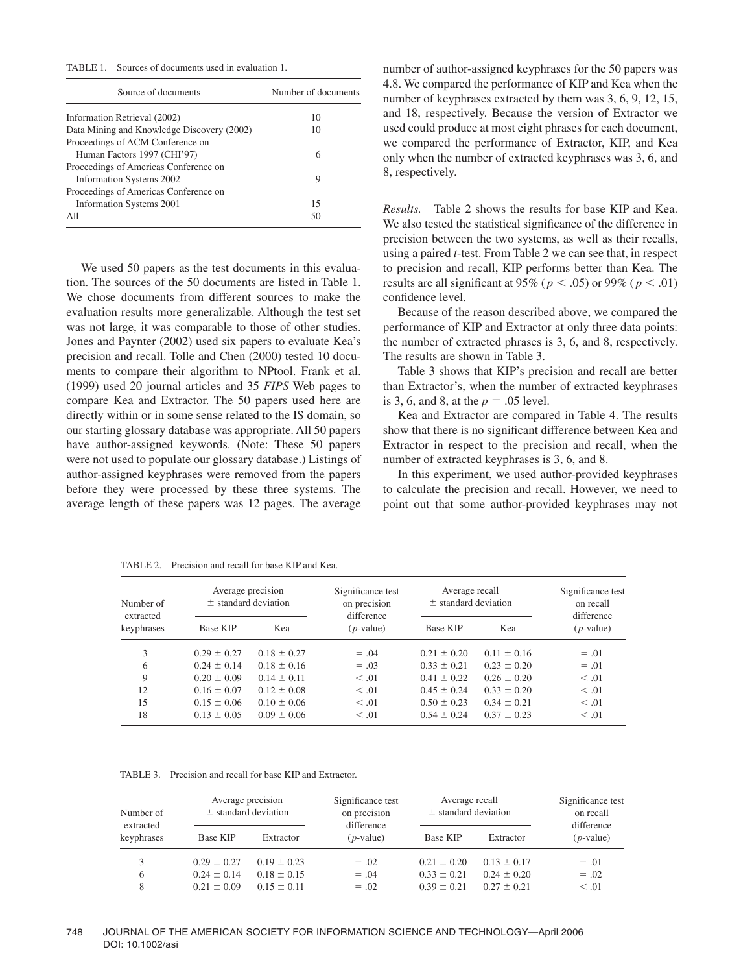#### TABLE 1. Sources of documents used in evaluation 1.

| Source of documents                        | Number of documents |
|--------------------------------------------|---------------------|
| Information Retrieval (2002)               | 10                  |
| Data Mining and Knowledge Discovery (2002) | 10                  |
| Proceedings of ACM Conference on           |                     |
| Human Factors 1997 (CHI'97)                | 6                   |
| Proceedings of Americas Conference on      |                     |
| Information Systems 2002                   | 9                   |
| Proceedings of Americas Conference on      |                     |
| Information Systems 2001                   | 15                  |
| A11                                        | 50                  |
|                                            |                     |

We used 50 papers as the test documents in this evaluation. The sources of the 50 documents are listed in Table 1. We chose documents from different sources to make the evaluation results more generalizable. Although the test set was not large, it was comparable to those of other studies. Jones and Paynter (2002) used six papers to evaluate Kea's precision and recall. Tolle and Chen (2000) tested 10 documents to compare their algorithm to NPtool. Frank et al. (1999) used 20 journal articles and 35 *FIPS* Web pages to compare Kea and Extractor. The 50 papers used here are directly within or in some sense related to the IS domain, so our starting glossary database was appropriate. All 50 papers have author-assigned keywords. (Note: These 50 papers were not used to populate our glossary database.) Listings of author-assigned keyphrases were removed from the papers before they were processed by these three systems. The average length of these papers was 12 pages. The average

number of author-assigned keyphrases for the 50 papers was 4.8. We compared the performance of KIP and Kea when the number of keyphrases extracted by them was 3, 6, 9, 12, 15, and 18, respectively. Because the version of Extractor we used could produce at most eight phrases for each document, we compared the performance of Extractor, KIP, and Kea only when the number of extracted keyphrases was 3, 6, and 8, respectively.

*Results.* Table 2 shows the results for base KIP and Kea. We also tested the statistical significance of the difference in precision between the two systems, as well as their recalls, using a paired *t*-test. From Table 2 we can see that, in respect to precision and recall, KIP performs better than Kea. The results are all significant at 95% ( $p < .05$ ) or 99% ( $p < .01$ ) confidence level.

Because of the reason described above, we compared the performance of KIP and Extractor at only three data points: the number of extracted phrases is 3, 6, and 8, respectively. The results are shown in Table 3.

Table 3 shows that KIP's precision and recall are better than Extractor's, when the number of extracted keyphrases is 3, 6, and 8, at the  $p = .05$  level.

Kea and Extractor are compared in Table 4. The results show that there is no significant difference between Kea and Extractor in respect to the precision and recall, when the number of extracted keyphrases is 3, 6, and 8.

In this experiment, we used author-provided keyphrases to calculate the precision and recall. However, we need to point out that some author-provided keyphrases may not

| Number of<br>extracted | Average precision<br>$\pm$ standard deviation |                 | Significance test<br>on precision<br>difference | Average recall<br>$\pm$ standard deviation |                 | Significance test<br>on recall<br>difference |
|------------------------|-----------------------------------------------|-----------------|-------------------------------------------------|--------------------------------------------|-----------------|----------------------------------------------|
| keyphrases             | <b>Base KIP</b>                               | Kea             | $(p$ -value)                                    | <b>Base KIP</b>                            | Kea             | $(p$ -value)                                 |
| 3                      | $0.29 \pm 0.27$                               | $0.18 \pm 0.27$ | $=.04$                                          | $0.21 \pm 0.20$                            | $0.11 \pm 0.16$ | $=.01$                                       |
| 6                      | $0.24 \pm 0.14$                               | $0.18 \pm 0.16$ | $=.03$                                          | $0.33 \pm 0.21$                            | $0.23 \pm 0.20$ | $=.01$                                       |
| 9                      | $0.20 \pm 0.09$                               | $0.14 \pm 0.11$ | < 0.01                                          | $0.41 \pm 0.22$                            | $0.26 \pm 0.20$ | < 0.01                                       |
| 12                     | $0.16 \pm 0.07$                               | $0.12 \pm 0.08$ | < 0.01                                          | $0.45 \pm 0.24$                            | $0.33 \pm 0.20$ | < 0.01                                       |
| 15                     | $0.15 \pm 0.06$                               | $0.10 \pm 0.06$ | < 0.01                                          | $0.50 \pm 0.23$                            | $0.34 \pm 0.21$ | < 0.01                                       |
| 18                     | $0.13 \pm 0.05$                               | $0.09 \pm 0.06$ | < 0.01                                          | $0.54 \pm 0.24$                            | $0.37 \pm 0.23$ | < 0.01                                       |

TABLE 2. Precision and recall for base KIP and Kea.

TABLE 3. Precision and recall for base KIP and Extractor.

| Number of<br>extracted | Average precision<br>$\pm$ standard deviation         |                                                       | Significance test<br>on precision<br>difference |                                                       | Average recall<br>$\pm$ standard deviation          |                            |
|------------------------|-------------------------------------------------------|-------------------------------------------------------|-------------------------------------------------|-------------------------------------------------------|-----------------------------------------------------|----------------------------|
| keyphrases             | <b>Base KIP</b>                                       | Extractor                                             | $(p$ -value)                                    | Base KIP                                              | Extractor                                           | difference<br>$(p$ -value) |
| 3<br>6<br>8            | $0.29 \pm 0.27$<br>$0.24 \pm 0.14$<br>$0.21 \pm 0.09$ | $0.19 \pm 0.23$<br>$0.18 \pm 0.15$<br>$0.15 \pm 0.11$ | $=.02$<br>$=.04$<br>$=.02$                      | $0.21 \pm 0.20$<br>$0.33 \pm 0.21$<br>$0.39 \pm 0.21$ | $0.13 \pm 0.17$<br>$0.24 \pm 0.20$<br>$0.27 + 0.21$ | $=.01$<br>$=.02$<br>< 0.01 |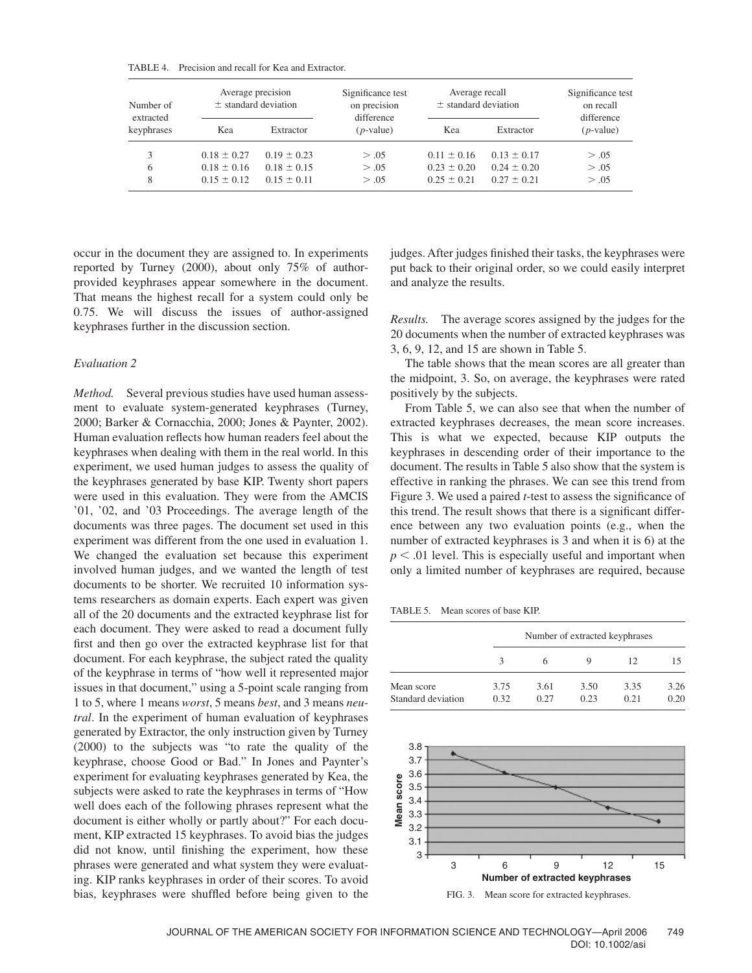TABLE 4. Precision and recall for Kea and Extractor.

| Number of<br>extracted | Average precision<br>$\pm$ standard deviation |                                    | Significance test<br>on precision<br>difference | Average recall<br>$\pm$ standard deviation |                                    | Significance test<br>on recall<br>difference |  |
|------------------------|-----------------------------------------------|------------------------------------|-------------------------------------------------|--------------------------------------------|------------------------------------|----------------------------------------------|--|
| keyphrases             | Kea                                           | Extractor                          | $(p$ -value)                                    | Kea                                        | Extractor                          | $(p$ -value)                                 |  |
| 3<br>6                 | $0.18 \pm 0.27$<br>$0.18 \pm 0.16$            | $0.19 \pm 0.23$<br>$0.18 \pm 0.15$ | > .05<br>> .05                                  | $0.11 \pm 0.16$<br>$0.23 \pm 0.20$         | $0.13 \pm 0.17$<br>$0.24 \pm 0.20$ | > .05<br>> .05                               |  |
| 8                      | $0.15 \pm 0.12$                               | $0.15 \pm 0.11$                    | > .05                                           | $0.25 \pm 0.21$                            | $0.27 + 0.21$                      | > .05                                        |  |

occur in the document they are assigned to. In experiments reported by Turney (2000), about only 75% of authorprovided keyphrases appear somewhere in the document. That means the highest recall for a system could only be 0.75. We will discuss the issues of author-assigned keyphrases further in the discussion section.

## *Evaluation 2*

*Method.* Several previous studies have used human assessment to evaluate system-generated keyphrases (Turney, 2000; Barker & Cornacchia, 2000; Jones & Paynter, 2002). Human evaluation reflects how human readers feel about the keyphrases when dealing with them in the real world. In this experiment, we used human judges to assess the quality of the keyphrases generated by base KIP. Twenty short papers were used in this evaluation. They were from the AMCIS '01, '02, and '03 Proceedings. The average length of the documents was three pages. The document set used in this experiment was different from the one used in evaluation 1. We changed the evaluation set because this experiment involved human judges, and we wanted the length of test documents to be shorter. We recruited 10 information systems researchers as domain experts. Each expert was given all of the 20 documents and the extracted keyphrase list for each document. They were asked to read a document fully first and then go over the extracted keyphrase list for that document. For each keyphrase, the subject rated the quality of the keyphrase in terms of "how well it represented major issues in that document," using a 5-point scale ranging from 1 to 5, where 1 means *worst*, 5 means *best*, and 3 means *neutral*. In the experiment of human evaluation of keyphrases generated by Extractor, the only instruction given by Turney (2000) to the subjects was "to rate the quality of the keyphrase, choose Good or Bad." In Jones and Paynter's experiment for evaluating keyphrases generated by Kea, the subjects were asked to rate the keyphrases in terms of "How well does each of the following phrases represent what the document is either wholly or partly about?" For each document, KIP extracted 15 keyphrases. To avoid bias the judges did not know, until finishing the experiment, how these phrases were generated and what system they were evaluating. KIP ranks keyphrases in order of their scores. To avoid bias, keyphrases were shuffled before being given to the

judges. After judges finished their tasks, the keyphrases were put back to their original order, so we could easily interpret and analyze the results.

*Results.* The average scores assigned by the judges for the 20 documents when the number of extracted keyphrases was 3, 6, 9, 12, and 15 are shown in Table 5.

The table shows that the mean scores are all greater than the midpoint, 3. So, on average, the keyphrases were rated positively by the subjects.

From Table 5, we can also see that when the number of extracted keyphrases decreases, the mean score increases. This is what we expected, because KIP outputs the keyphrases in descending order of their importance to the document. The results in Table 5 also show that the system is effective in ranking the phrases. We can see this trend from Figure 3. We used a paired *t*-test to assess the significance of this trend. The result shows that there is a significant difference between any two evaluation points (e.g., when the number of extracted keyphrases is 3 and when it is 6) at the  $p < .01$  level. This is especially useful and important when only a limited number of keyphrases are required, because

TABLE 5. Mean scores of base KIP.

|                    | Number of extracted keyphrases |      |      |      |      |
|--------------------|--------------------------------|------|------|------|------|
|                    | κ                              | h    | Q    | 12   | 15.  |
| Mean score         | 3.75                           | 3.61 | 3.50 | 3.35 | 3.26 |
| Standard deviation | 0.32                           | 0.27 | 0.23 | 0.21 | 0.20 |



FIG. 3. Mean score for extracted keyphrases.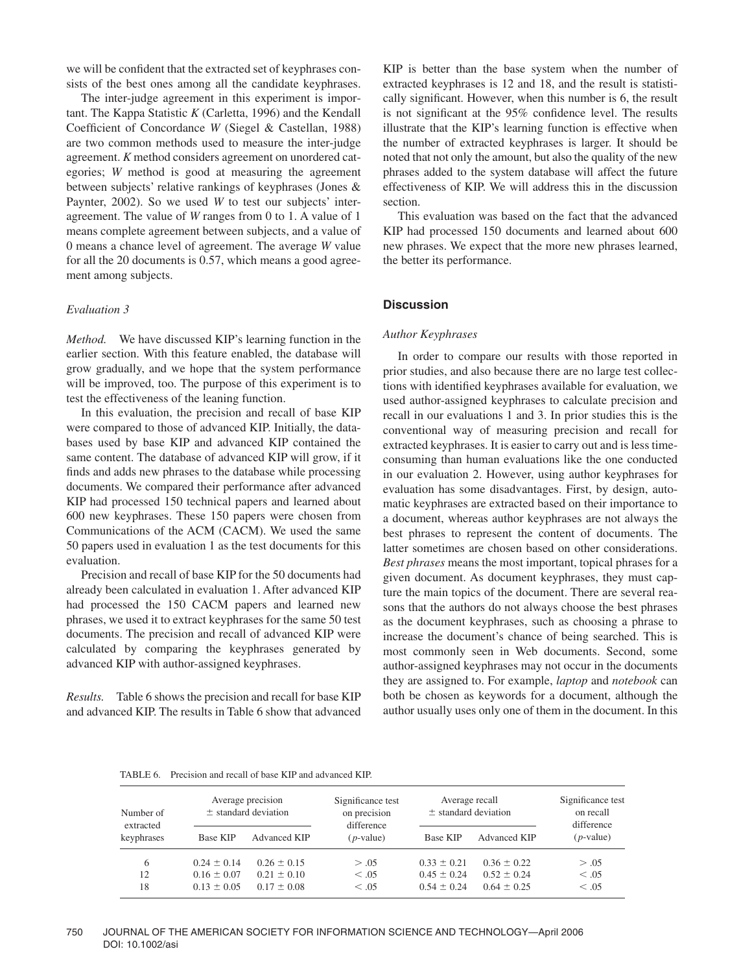we will be confident that the extracted set of keyphrases consists of the best ones among all the candidate keyphrases.

The inter-judge agreement in this experiment is important. The Kappa Statistic *K* (Carletta, 1996) and the Kendall Coefficient of Concordance *W* (Siegel & Castellan, 1988) are two common methods used to measure the inter-judge agreement. *K* method considers agreement on unordered categories; *W* method is good at measuring the agreement between subjects' relative rankings of keyphrases (Jones & Paynter, 2002). So we used *W* to test our subjects' interagreement. The value of *W* ranges from 0 to 1. A value of 1 means complete agreement between subjects, and a value of 0 means a chance level of agreement. The average *W* value for all the 20 documents is 0.57, which means a good agreement among subjects.

## *Evaluation 3*

*Method.* We have discussed KIP's learning function in the earlier section. With this feature enabled, the database will grow gradually, and we hope that the system performance will be improved, too. The purpose of this experiment is to test the effectiveness of the leaning function.

In this evaluation, the precision and recall of base KIP were compared to those of advanced KIP. Initially, the databases used by base KIP and advanced KIP contained the same content. The database of advanced KIP will grow, if it finds and adds new phrases to the database while processing documents. We compared their performance after advanced KIP had processed 150 technical papers and learned about 600 new keyphrases. These 150 papers were chosen from Communications of the ACM (CACM). We used the same 50 papers used in evaluation 1 as the test documents for this evaluation.

Precision and recall of base KIP for the 50 documents had already been calculated in evaluation 1. After advanced KIP had processed the 150 CACM papers and learned new phrases, we used it to extract keyphrases for the same 50 test documents. The precision and recall of advanced KIP were calculated by comparing the keyphrases generated by advanced KIP with author-assigned keyphrases.

*Results.* Table 6 shows the precision and recall for base KIP and advanced KIP. The results in Table 6 show that advanced

KIP is better than the base system when the number of extracted keyphrases is 12 and 18, and the result is statistically significant. However, when this number is 6, the result is not significant at the 95% confidence level. The results illustrate that the KIP's learning function is effective when the number of extracted keyphrases is larger. It should be noted that not only the amount, but also the quality of the new phrases added to the system database will affect the future effectiveness of KIP. We will address this in the discussion section.

This evaluation was based on the fact that the advanced KIP had processed 150 documents and learned about 600 new phrases. We expect that the more new phrases learned, the better its performance.

# **Discussion**

## *Author Keyphrases*

In order to compare our results with those reported in prior studies, and also because there are no large test collections with identified keyphrases available for evaluation, we used author-assigned keyphrases to calculate precision and recall in our evaluations 1 and 3. In prior studies this is the conventional way of measuring precision and recall for extracted keyphrases. It is easier to carry out and is less timeconsuming than human evaluations like the one conducted in our evaluation 2. However, using author keyphrases for evaluation has some disadvantages. First, by design, automatic keyphrases are extracted based on their importance to a document, whereas author keyphrases are not always the best phrases to represent the content of documents. The latter sometimes are chosen based on other considerations. *Best phrases* means the most important, topical phrases for a given document. As document keyphrases, they must capture the main topics of the document. There are several reasons that the authors do not always choose the best phrases as the document keyphrases, such as choosing a phrase to increase the document's chance of being searched. This is most commonly seen in Web documents. Second, some author-assigned keyphrases may not occur in the documents they are assigned to. For example, *laptop* and *notebook* can both be chosen as keywords for a document, although the author usually uses only one of them in the document. In this

| TABLE 6. | Precision and recall of base KIP and advanced KIP. |  |
|----------|----------------------------------------------------|--|
|          |                                                    |  |

| Number of<br>extracted | Average precision<br>$\pm$ standard deviation |                 | Significance test<br>on precision<br>difference | Average recall<br>$\pm$ standard deviation |                 | Significance test<br>on recall<br>difference |
|------------------------|-----------------------------------------------|-----------------|-------------------------------------------------|--------------------------------------------|-----------------|----------------------------------------------|
| keyphrases             | Advanced KIP<br>Base KIP                      | $(p$ -value)    | Base KIP                                        | <b>Advanced KIP</b>                        | $(p$ -value)    |                                              |
| 6                      | $0.24 \pm 0.14$                               | $0.26 \pm 0.15$ | > .05                                           | $0.33 \pm 0.21$                            | $0.36 \pm 0.22$ | > .05                                        |
| 12                     | $0.16 \pm 0.07$                               | $0.21 \pm 0.10$ | < .05                                           | $0.45 \pm 0.24$                            | $0.52 \pm 0.24$ | $\leq .05$                                   |
| 18                     | $0.13 \pm 0.05$                               | $0.17 \pm 0.08$ | $\leq .05$                                      | $0.54 \pm 0.24$                            | $0.64 \pm 0.25$ | < 0.05                                       |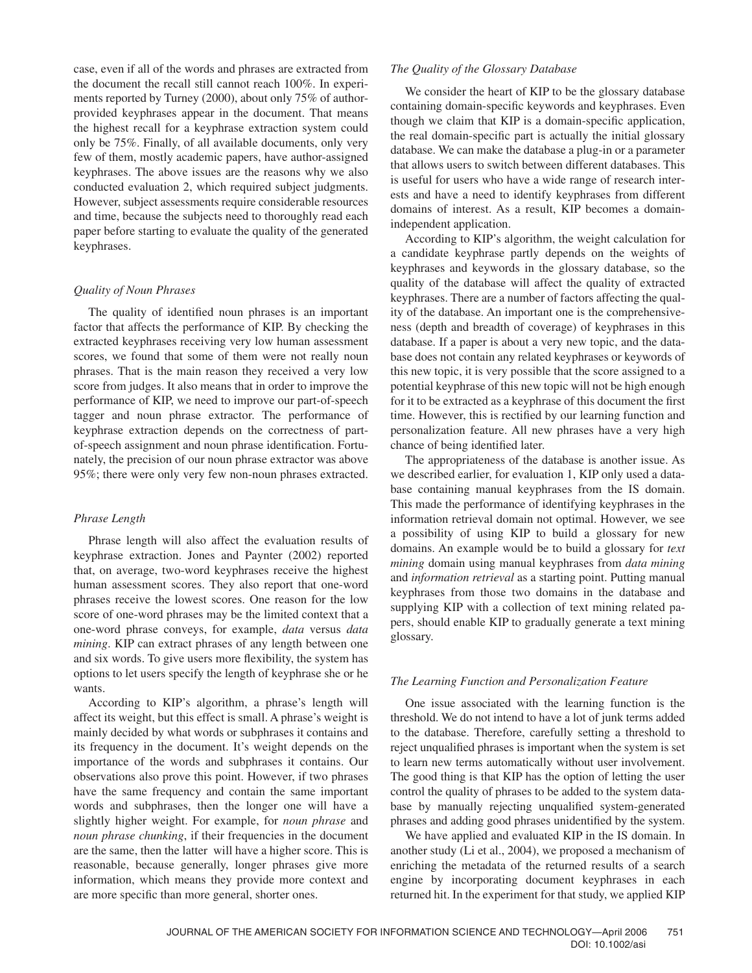case, even if all of the words and phrases are extracted from the document the recall still cannot reach 100%. In experiments reported by Turney (2000), about only 75% of authorprovided keyphrases appear in the document. That means the highest recall for a keyphrase extraction system could only be 75%. Finally, of all available documents, only very few of them, mostly academic papers, have author-assigned keyphrases. The above issues are the reasons why we also conducted evaluation 2, which required subject judgments. However, subject assessments require considerable resources and time, because the subjects need to thoroughly read each paper before starting to evaluate the quality of the generated keyphrases.

## *Quality of Noun Phrases*

The quality of identified noun phrases is an important factor that affects the performance of KIP. By checking the extracted keyphrases receiving very low human assessment scores, we found that some of them were not really noun phrases. That is the main reason they received a very low score from judges. It also means that in order to improve the performance of KIP, we need to improve our part-of-speech tagger and noun phrase extractor. The performance of keyphrase extraction depends on the correctness of partof-speech assignment and noun phrase identification. Fortunately, the precision of our noun phrase extractor was above 95%; there were only very few non-noun phrases extracted.

## *Phrase Length*

Phrase length will also affect the evaluation results of keyphrase extraction. Jones and Paynter (2002) reported that, on average, two-word keyphrases receive the highest human assessment scores. They also report that one-word phrases receive the lowest scores. One reason for the low score of one-word phrases may be the limited context that a one-word phrase conveys, for example, *data* versus *data mining*. KIP can extract phrases of any length between one and six words. To give users more flexibility, the system has options to let users specify the length of keyphrase she or he wants.

According to KIP's algorithm, a phrase's length will affect its weight, but this effect is small. A phrase's weight is mainly decided by what words or subphrases it contains and its frequency in the document. It's weight depends on the importance of the words and subphrases it contains. Our observations also prove this point. However, if two phrases have the same frequency and contain the same important words and subphrases, then the longer one will have a slightly higher weight. For example, for *noun phrase* and *noun phrase chunking*, if their frequencies in the document are the same, then the latter will have a higher score. This is reasonable, because generally, longer phrases give more information, which means they provide more context and are more specific than more general, shorter ones.

# *The Quality of the Glossary Database*

We consider the heart of KIP to be the glossary database containing domain-specific keywords and keyphrases. Even though we claim that KIP is a domain-specific application, the real domain-specific part is actually the initial glossary database. We can make the database a plug-in or a parameter that allows users to switch between different databases. This is useful for users who have a wide range of research interests and have a need to identify keyphrases from different domains of interest. As a result, KIP becomes a domainindependent application.

According to KIP's algorithm, the weight calculation for a candidate keyphrase partly depends on the weights of keyphrases and keywords in the glossary database, so the quality of the database will affect the quality of extracted keyphrases. There are a number of factors affecting the quality of the database. An important one is the comprehensiveness (depth and breadth of coverage) of keyphrases in this database. If a paper is about a very new topic, and the database does not contain any related keyphrases or keywords of this new topic, it is very possible that the score assigned to a potential keyphrase of this new topic will not be high enough for it to be extracted as a keyphrase of this document the first time. However, this is rectified by our learning function and personalization feature. All new phrases have a very high chance of being identified later.

The appropriateness of the database is another issue. As we described earlier, for evaluation 1, KIP only used a database containing manual keyphrases from the IS domain. This made the performance of identifying keyphrases in the information retrieval domain not optimal. However, we see a possibility of using KIP to build a glossary for new domains. An example would be to build a glossary for *text mining* domain using manual keyphrases from *data mining* and *information retrieval* as a starting point. Putting manual keyphrases from those two domains in the database and supplying KIP with a collection of text mining related papers, should enable KIP to gradually generate a text mining glossary.

## *The Learning Function and Personalization Feature*

One issue associated with the learning function is the threshold. We do not intend to have a lot of junk terms added to the database. Therefore, carefully setting a threshold to reject unqualified phrases is important when the system is set to learn new terms automatically without user involvement. The good thing is that KIP has the option of letting the user control the quality of phrases to be added to the system database by manually rejecting unqualified system-generated phrases and adding good phrases unidentified by the system.

We have applied and evaluated KIP in the IS domain. In another study (Li et al., 2004), we proposed a mechanism of enriching the metadata of the returned results of a search engine by incorporating document keyphrases in each returned hit. In the experiment for that study, we applied KIP